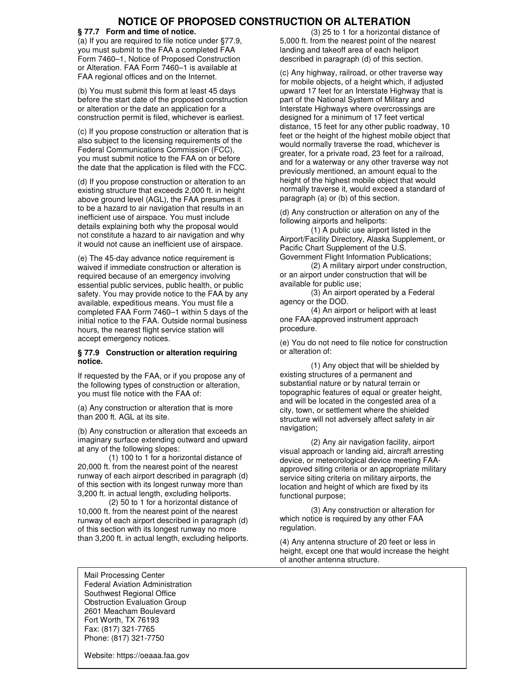## **NOTICE OF PROPOSED CONSTRUCTION OR ALTERATION**

## **§ 77.7 Form and time of notice.**

(a) If you are required to file notice under §77.9, you must submit to the FAA a completed FAA Form 7460–1, Notice of Proposed Construction or Alteration. FAA Form 7460–1 is available at FAA regional offices and on the Internet.

(b) You must submit this form at least 45 days before the start date of the proposed construction or alteration or the date an application for a construction permit is filed, whichever is earliest.

(c) If you propose construction or alteration that is also subject to the licensing requirements of the Federal Communications Commission (FCC), you must submit notice to the FAA on or before the date that the application is filed with the FCC.

(d) If you propose construction or alteration to an existing structure that exceeds 2,000 ft. in height above ground level (AGL), the FAA presumes it to be a hazard to air navigation that results in an inefficient use of airspace. You must include details explaining both why the proposal would not constitute a hazard to air navigation and why it would not cause an inefficient use of airspace.

(e) The 45-day advance notice requirement is waived if immediate construction or alteration is required because of an emergency involving essential public services, public health, or public safety. You may provide notice to the FAA by any available, expeditious means. You must file a completed FAA Form 7460–1 within 5 days of the initial notice to the FAA. Outside normal business hours, the nearest flight service station will accept emergency notices.

## **§ 77.9 Construction or alteration requiring notice.**

If requested by the FAA, or if you propose any of the following types of construction or alteration, you must file notice with the FAA of:

(a) Any construction or alteration that is more than 200 ft. AGL at its site.

(b) Any construction or alteration that exceeds an imaginary surface extending outward and upward at any of the following slopes:

(1) 100 to 1 for a horizontal distance of 20,000 ft. from the nearest point of the nearest runway of each airport described in paragraph (d) of this section with its longest runway more than 3,200 ft. in actual length, excluding heliports.

(2) 50 to 1 for a horizontal distance of 10,000 ft. from the nearest point of the nearest runway of each airport described in paragraph (d) of this section with its longest runway no more than 3,200 ft. in actual length, excluding heliports.

(3) 25 to 1 for a horizontal distance of 5,000 ft. from the nearest point of the nearest landing and takeoff area of each heliport described in paragraph (d) of this section.

(c) Any highway, railroad, or other traverse way for mobile objects, of a height which, if adjusted upward 17 feet for an Interstate Highway that is part of the National System of Military and Interstate Highways where overcrossings are designed for a minimum of 17 feet vertical distance, 15 feet for any other public roadway, 10 feet or the height of the highest mobile object that would normally traverse the road, whichever is greater, for a private road, 23 feet for a railroad, and for a waterway or any other traverse way not previously mentioned, an amount equal to the height of the highest mobile object that would normally traverse it, would exceed a standard of paragraph (a) or (b) of this section.

(d) Any construction or alteration on any of the following airports and heliports:

(1) A public use airport listed in the Airport/Facility Directory, Alaska Supplement, or Pacific Chart Supplement of the U.S. Government Flight Information Publications;

(2) A military airport under construction, or an airport under construction that will be available for public use;

(3) An airport operated by a Federal agency or the DOD.

(4) An airport or heliport with at least one FAA-approved instrument approach procedure.

(e) You do not need to file notice for construction or alteration of:

(1) Any object that will be shielded by existing structures of a permanent and substantial nature or by natural terrain or topographic features of equal or greater height, and will be located in the congested area of a city, town, or settlement where the shielded structure will not adversely affect safety in air navigation;

(2) Any air navigation facility, airport visual approach or landing aid, aircraft arresting device, or meteorological device meeting FAAapproved siting criteria or an appropriate military service siting criteria on military airports, the location and height of which are fixed by its functional purpose;

(3) Any construction or alteration for which notice is required by any other FAA regulation.

(4) Any antenna structure of 20 feet or less in height, except one that would increase the height of another antenna structure.

Mail Processing Center Federal Aviation Administration Southwest Regional Office Obstruction Evaluation Group 2601 Meacham Boulevard Fort Worth, TX 76193 Fax: (817) 321-7765 Phone: (817) 321-7750

Website: https://oeaaa.faa.gov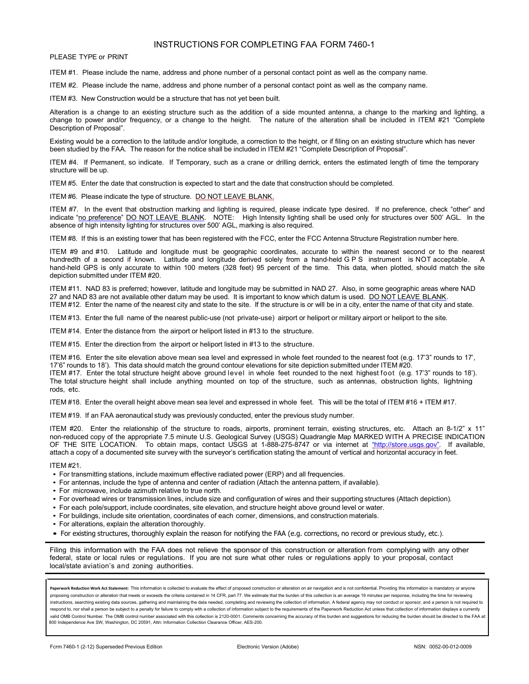## INSTRUCTIONS FOR COMPLETING FAA FORM 7460-1

PLEASE TYPE or PRINT

ITEM #1. Please include the name, address and phone number of a personal contact point as well as the company name.

ITEM #2. Please include the name, address and phone number of a personal contact point as well as the company name.

ITEM #3. New Construction would be a structure that has not yet been built.

Alteration is a change to an existing structure such as the addition of a side mounted antenna, a change to the marking and lighting, a change to power and/or frequency, or a change to the height. The nature of the alteration shall be included in ITEM #21 "Complete Description of Proposal".

Existing would be a correction to the latitude and/or longitude, a correction to the height, or if filing on an existing structure which has never been studied by the FAA. The reason for the notice shall be included in ITEM #21 "Complete Description of Proposal".

ITEM #4. If Permanent, so indicate. If Temporary, such as a crane or drilling derrick, enters the estimated length of time the temporary structure will be up.

ITEM #5. Enter the date that construction is expected to start and the date that construction should be completed.

ITEM #6. Please indicate the type of structure. DO NOT LEAVE BLANK.

ITEM #7. In the event that obstruction marking and lighting is required, please indicate type desired. If no preference, check "other" and indicate "no preference" DO NOT LEAVE BLANK. NOTE: High Intensity lighting shall be used only for structures over 500' AGL. In the absence of high intensity lighting for structures over 500' AGL, marking is also required.

ITEM #8. If this is an existing tower that has been registered with the FCC, enter the FCC Antenna Structure Registration number here.

ITEM #9 and #10. Latitude and longitude must be geographic coordinates, accurate to within the nearest second or to the nearest hundredth of a second if known. Latitude and longitude derived solely from a hand-held GPS instrument is NOT acceptable. A hand-held GPS is only accurate to within 100 meters (328 feet) 95 percent of the time. This data, when plotted, should match the site depiction submitted under ITEM #20.

ITEM #11. NAD 83 is preferred; however, latitude and longitude may be submitted in NAD 27. Also, in some geographic areas where NAD 27 and NAD 83 are not available other datum may be used. It is important to know which datum is used. DO NOT LEAVE BLANK. ITEM #12. Enter the name of the nearest city and state to the site. If the structure is or will be in a city, enter the name of that city and state.

ITEM #13. Enter the full name of the nearest public-use (not private-use) airport or heliport or military airport or heliport to the site.

ITEM #14. Enter the distance from the airport or heliport listed in #13 to the structure.

ITEM #15. Enter the direction from the airport or heliport listed in #13 to the structure.

ITEM #16. Enter the site elevation above mean sea level and expressed in whole feet rounded to the nearest foot (e.g. 17'3" rounds to 17', 17'6" rounds to 18'). This data should match the ground contour elevations for site depiction submitted under ITEM #20.

ITEM #17. Enter the total structure height above ground level in whole feet rounded to the next highest foot (e.g. 17'3" rounds to 18'). The total structure height shall include anything mounted on top of the structure, such as antennas, obstruction lights, lightning rods, etc.

ITEM #18. Enter the overall height above mean sea level and expressed in whole feet. This will be the total of ITEM #16 + ITEM #17.

ITEM #19. If an FAA aeronautical study was previously conducted, enter the previous study number.

ITEM #20. Enter the relationship of the structure to roads, airports, prominent terrain, existing structures, etc. Attach an 8-1/2" x 11" non-reduced copy of the appropriate 7.5 minute U.S. Geological Survey (USGS) Quadrangle Map MARKED WITH A PRECISE INDICATION OF THE SITE LOCATION. To obtain maps, contact USGS at 1-888-275-8747 or via internet at ["http://store.usgs.gov".](file:///E:/) If available, attach a copy of a documented site survey with the surveyor's certification stating the amount of vertical and horizontal accuracy in feet.

ITEM #21.

- For transmitting stations, include maximum effective radiated power (ERP) and all frequencies.
- For antennas, include the type of antenna and center of radiation (Attach the antenna pattern, if available).
- For microwave, include azimuth relative to true north.
- For overhead wires or transmission lines, include size and configuration of wires and their supporting structures (Attach depiction).
- For each pole/support, include coordinates, site elevation, and structure height above ground level or water.
- For buildings, include site orientation, coordinates of each corner, dimensions, and construction materials.
- For alterations, explain the alteration thoroughly.
- For existing structures, thoroughly explain the reason for notifying the FAA (e.g. corrections, no record or previous study, etc.).

Filing this information with the FAA does not relieve the sponsor of this construction or alteration from complying with any other federal, state or local rules or regulations. If you are not sure what other rules or regulations apply to your proposal, contact local/state aviation's and zoning authorities.

Paperwork Reduction Work Act Statement: This information is collected to evaluate the effect of proposed construction or alteration on air navigation and is not confidential. Providing this information is mandatory or anyo proposing construction or alteration that meets or exceeds the criteria contained in 14 CFR, part 77. We estimate that the burden of this collection is an average 19 minutes per response, including the time for reviewing instructions, searching existing data sources, gathering and maintaining the data needed, completing and reviewing the collection of information. A federal agency may not conduct or sponsor, and a person is not required to respond to, nor shall a person be subject to a penalty for failure to comply with a collection of information subject to the requirements of the Paperwork Reduction Act unless that collection of information displays a curr valid OMB Control Number. The OMB control number associated with this collection is 2120-0001. Comments concerning the accuracy of this burden and suggestions for reducing the burden should be directed to the FAA at: 800 Independence Ave SW, Washington, DC 20591, Attn: Information Collection Clearance Officer, AES-200.